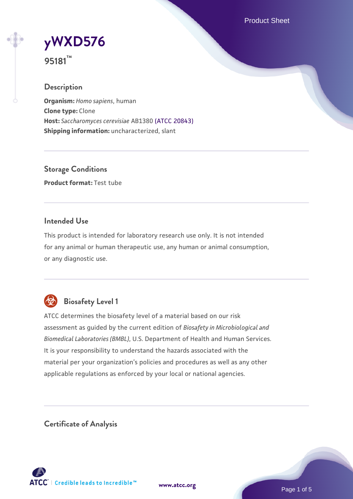Product Sheet

# **[yWXD576](https://www.atcc.org/products/95181)**

**95181™**

#### **Description**

**Organism:** *Homo sapiens*, human **Clone type:** Clone **Host:** *Saccharomyces cerevisiae* AB1380 [\(ATCC 20843\)](https://www.atcc.org/products/20843) **Shipping information:** uncharacterized, slant

**Storage Conditions Product format:** Test tube

#### **Intended Use**

This product is intended for laboratory research use only. It is not intended for any animal or human therapeutic use, any human or animal consumption, or any diagnostic use.



### **Biosafety Level 1**

ATCC determines the biosafety level of a material based on our risk assessment as guided by the current edition of *Biosafety in Microbiological and Biomedical Laboratories (BMBL)*, U.S. Department of Health and Human Services. It is your responsibility to understand the hazards associated with the material per your organization's policies and procedures as well as any other applicable regulations as enforced by your local or national agencies.

**Certificate of Analysis**

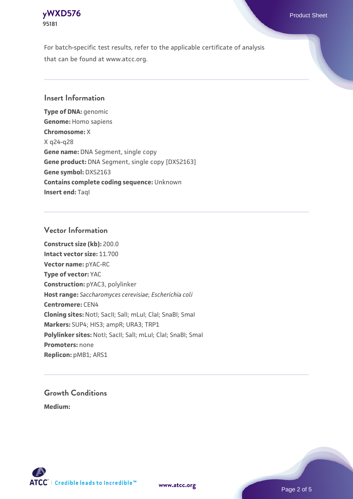

For batch-specific test results, refer to the applicable certificate of analysis that can be found at www.atcc.org.

#### **Insert Information**

**Type of DNA:** genomic **Genome:** Homo sapiens **Chromosome:** X X q24-q28 **Gene name:** DNA Segment, single copy **Gene product:** DNA Segment, single copy [DXS2163] **Gene symbol:** DXS2163 **Contains complete coding sequence:** Unknown **Insert end: Tagl** 

#### **Vector Information**

**Construct size (kb):** 200.0 **Intact vector size:** 11.700 **Vector name:** pYAC-RC **Type of vector:** YAC **Construction:** pYAC3, polylinker **Host range:** *Saccharomyces cerevisiae*; *Escherichia coli* **Centromere:** CEN4 **Cloning sites:** NotI; SacII; SalI; mLuI; ClaI; SnaBI; SmaI **Markers:** SUP4; HIS3; ampR; URA3; TRP1 Polylinker sites: Notl; SacII; SalI; mLuI; ClaI; SnaBI; SmaI **Promoters:** none **Replicon:** pMB1; ARS1

## **Growth Conditions**

**Medium:** 



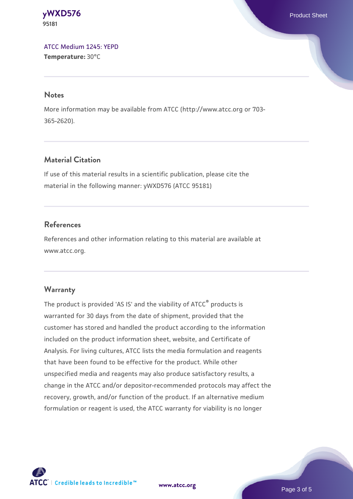**[yWXD576](https://www.atcc.org/products/95181)** Product Sheet **95181**

[ATCC Medium 1245: YEPD](https://www.atcc.org/-/media/product-assets/documents/microbial-media-formulations/1/2/4/5/atcc-medium-1245.pdf?rev=705ca55d1b6f490a808a965d5c072196) **Temperature:** 30°C

#### **Notes**

More information may be available from ATCC (http://www.atcc.org or 703- 365-2620).

#### **Material Citation**

If use of this material results in a scientific publication, please cite the material in the following manner: yWXD576 (ATCC 95181)

#### **References**

References and other information relating to this material are available at www.atcc.org.

#### **Warranty**

The product is provided 'AS IS' and the viability of ATCC® products is warranted for 30 days from the date of shipment, provided that the customer has stored and handled the product according to the information included on the product information sheet, website, and Certificate of Analysis. For living cultures, ATCC lists the media formulation and reagents that have been found to be effective for the product. While other unspecified media and reagents may also produce satisfactory results, a change in the ATCC and/or depositor-recommended protocols may affect the recovery, growth, and/or function of the product. If an alternative medium formulation or reagent is used, the ATCC warranty for viability is no longer



**[www.atcc.org](http://www.atcc.org)**

Page 3 of 5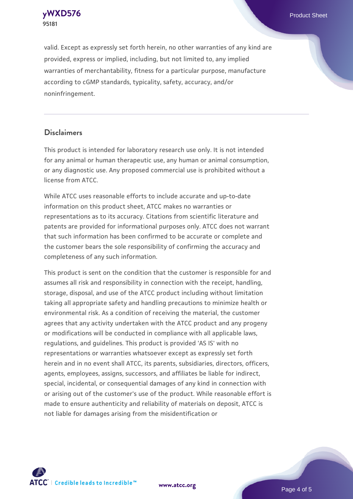**[yWXD576](https://www.atcc.org/products/95181)** Product Sheet **95181**

valid. Except as expressly set forth herein, no other warranties of any kind are provided, express or implied, including, but not limited to, any implied warranties of merchantability, fitness for a particular purpose, manufacture according to cGMP standards, typicality, safety, accuracy, and/or noninfringement.

#### **Disclaimers**

This product is intended for laboratory research use only. It is not intended for any animal or human therapeutic use, any human or animal consumption, or any diagnostic use. Any proposed commercial use is prohibited without a license from ATCC.

While ATCC uses reasonable efforts to include accurate and up-to-date information on this product sheet, ATCC makes no warranties or representations as to its accuracy. Citations from scientific literature and patents are provided for informational purposes only. ATCC does not warrant that such information has been confirmed to be accurate or complete and the customer bears the sole responsibility of confirming the accuracy and completeness of any such information.

This product is sent on the condition that the customer is responsible for and assumes all risk and responsibility in connection with the receipt, handling, storage, disposal, and use of the ATCC product including without limitation taking all appropriate safety and handling precautions to minimize health or environmental risk. As a condition of receiving the material, the customer agrees that any activity undertaken with the ATCC product and any progeny or modifications will be conducted in compliance with all applicable laws, regulations, and guidelines. This product is provided 'AS IS' with no representations or warranties whatsoever except as expressly set forth herein and in no event shall ATCC, its parents, subsidiaries, directors, officers, agents, employees, assigns, successors, and affiliates be liable for indirect, special, incidental, or consequential damages of any kind in connection with or arising out of the customer's use of the product. While reasonable effort is made to ensure authenticity and reliability of materials on deposit, ATCC is not liable for damages arising from the misidentification or



**[www.atcc.org](http://www.atcc.org)**

Page 4 of 5